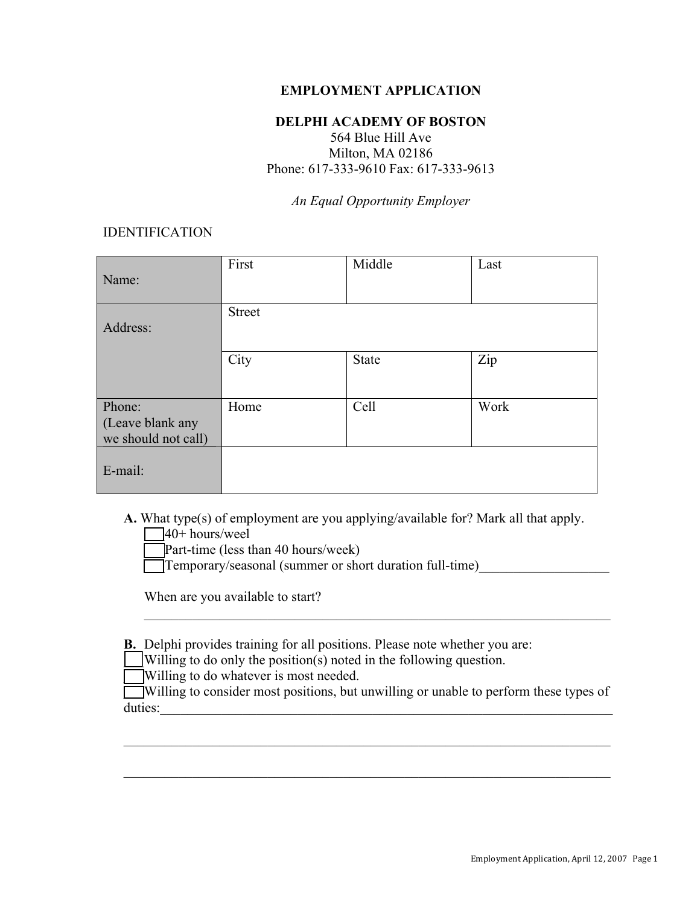### **EMPLOYMENT APPLICATION**

#### **DELPHI ACADEMY OF BOSTON**

564 Blue Hill Ave Milton, MA 02186 Phone: 617-333-9610 Fax: 617-333-9613

*An Equal Opportunity Employer*

### IDENTIFICATION

| Name:                                             | First         | Middle | Last |
|---------------------------------------------------|---------------|--------|------|
| Address:                                          | <b>Street</b> |        |      |
|                                                   | City          | State  | Zip  |
| Phone:<br>(Leave blank any<br>we should not call) | Home          | Cell   | Work |
| E-mail:                                           |               |        |      |

- **A.** What type(s) of employment are you applying/available for? Mark all that apply.
	- $\Box$ 40+ hours/weel
	- Part-time (less than 40 hours/week)
	- Temporary/seasonal (summer or short duration full-time)

When are you available to start?

- **B.** Delphi provides training for all positions. Please note whether you are:
	- \_\_\_Willing to do only the position(s) noted in the following question.
	- Willing to do whatever is most needed.
- Willing to consider most positions, but unwilling or unable to perform these types of duties:\_\_\_\_\_\_\_\_\_\_\_\_\_\_\_\_\_\_\_\_\_\_\_\_\_\_\_\_\_\_\_\_\_\_\_\_\_\_\_\_\_\_\_\_\_\_\_\_\_\_\_\_\_\_\_\_\_\_\_\_\_\_\_\_\_\_

 $\mathcal{L}_\mathcal{L} = \{ \mathcal{L}_\mathcal{L} = \{ \mathcal{L}_\mathcal{L} = \{ \mathcal{L}_\mathcal{L} = \{ \mathcal{L}_\mathcal{L} = \{ \mathcal{L}_\mathcal{L} = \{ \mathcal{L}_\mathcal{L} = \{ \mathcal{L}_\mathcal{L} = \{ \mathcal{L}_\mathcal{L} = \{ \mathcal{L}_\mathcal{L} = \{ \mathcal{L}_\mathcal{L} = \{ \mathcal{L}_\mathcal{L} = \{ \mathcal{L}_\mathcal{L} = \{ \mathcal{L}_\mathcal{L} = \{ \mathcal{L}_\mathcal{$ 

 $\mathcal{L}_\mathcal{L} = \{ \mathcal{L}_\mathcal{L} = \{ \mathcal{L}_\mathcal{L} = \{ \mathcal{L}_\mathcal{L} = \{ \mathcal{L}_\mathcal{L} = \{ \mathcal{L}_\mathcal{L} = \{ \mathcal{L}_\mathcal{L} = \{ \mathcal{L}_\mathcal{L} = \{ \mathcal{L}_\mathcal{L} = \{ \mathcal{L}_\mathcal{L} = \{ \mathcal{L}_\mathcal{L} = \{ \mathcal{L}_\mathcal{L} = \{ \mathcal{L}_\mathcal{L} = \{ \mathcal{L}_\mathcal{L} = \{ \mathcal{L}_\mathcal{$ 

 $\mathcal{L}_\mathcal{L} = \{ \mathcal{L}_\mathcal{L} = \{ \mathcal{L}_\mathcal{L} = \{ \mathcal{L}_\mathcal{L} = \{ \mathcal{L}_\mathcal{L} = \{ \mathcal{L}_\mathcal{L} = \{ \mathcal{L}_\mathcal{L} = \{ \mathcal{L}_\mathcal{L} = \{ \mathcal{L}_\mathcal{L} = \{ \mathcal{L}_\mathcal{L} = \{ \mathcal{L}_\mathcal{L} = \{ \mathcal{L}_\mathcal{L} = \{ \mathcal{L}_\mathcal{L} = \{ \mathcal{L}_\mathcal{L} = \{ \mathcal{L}_\mathcal{$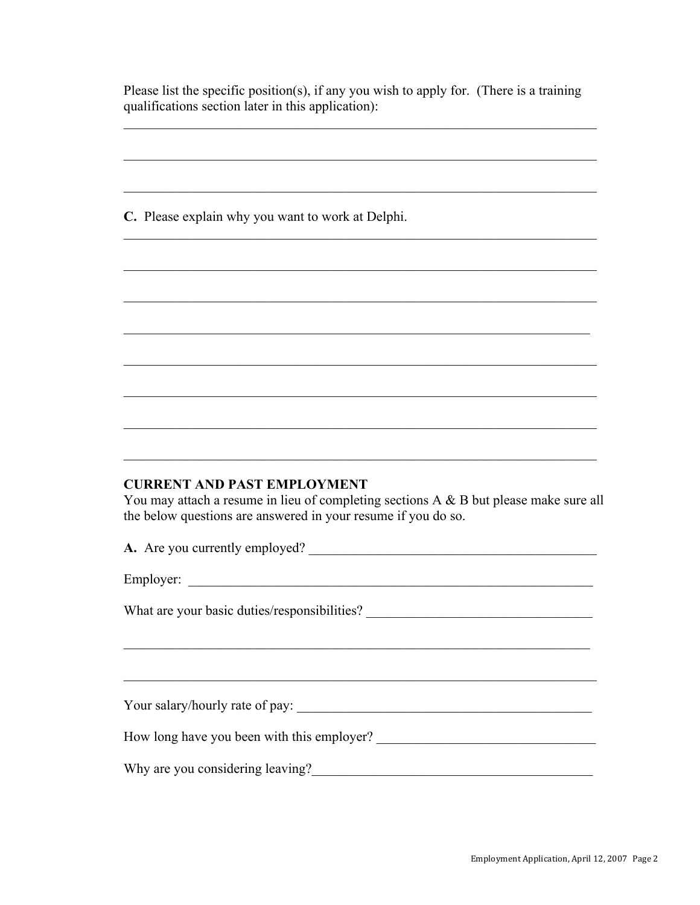Please list the specific position(s), if any you wish to apply for. (There is a training qualifications section later in this application):

C. Please explain why you want to work at Delphi.

#### **CURRENT AND PAST EMPLOYMENT**

You may attach a resume in lieu of completing sections  $A \& B$  but please make sure all the below questions are answered in your resume if you do so.

A. Are you currently employed?

Employer:

What are your basic duties/responsibilities? \_\_\_\_\_\_\_\_\_\_\_\_\_\_\_\_\_\_\_\_\_\_\_\_\_\_\_\_\_\_\_\_\_\_\_

Your salary/hourly rate of pay:

How long have you been with this employer?

Why are you considering leaving?<br>
<u>Letting</u> the construction of the state of the state of the state of the state of the state of the state of the state of the state of the state of the state of the state of the state of th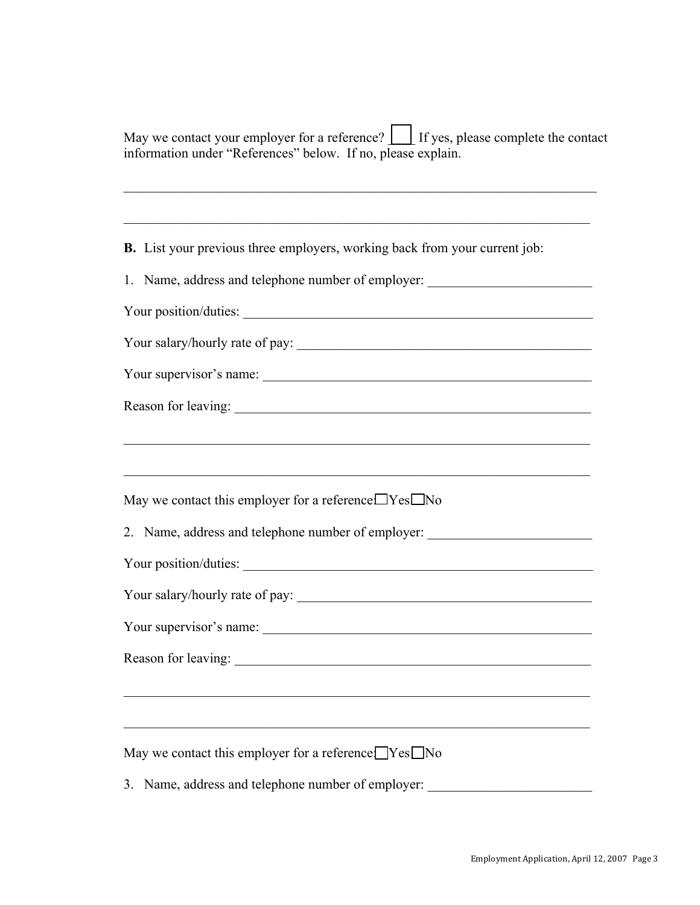| May we contact your employer for a reference? $\Box$ If yes, please complete the contact |  |
|------------------------------------------------------------------------------------------|--|
| information under "References" below. If no, please explain.                             |  |

 $\mathcal{L}_\mathcal{L} = \mathcal{L}_\mathcal{L} = \mathcal{L}_\mathcal{L} = \mathcal{L}_\mathcal{L} = \mathcal{L}_\mathcal{L} = \mathcal{L}_\mathcal{L} = \mathcal{L}_\mathcal{L} = \mathcal{L}_\mathcal{L} = \mathcal{L}_\mathcal{L} = \mathcal{L}_\mathcal{L} = \mathcal{L}_\mathcal{L} = \mathcal{L}_\mathcal{L} = \mathcal{L}_\mathcal{L} = \mathcal{L}_\mathcal{L} = \mathcal{L}_\mathcal{L} = \mathcal{L}_\mathcal{L} = \mathcal{L}_\mathcal{L}$ 

 $\mathcal{L}_\mathcal{L} = \{ \mathcal{L}_\mathcal{L} = \{ \mathcal{L}_\mathcal{L} = \{ \mathcal{L}_\mathcal{L} = \{ \mathcal{L}_\mathcal{L} = \{ \mathcal{L}_\mathcal{L} = \{ \mathcal{L}_\mathcal{L} = \{ \mathcal{L}_\mathcal{L} = \{ \mathcal{L}_\mathcal{L} = \{ \mathcal{L}_\mathcal{L} = \{ \mathcal{L}_\mathcal{L} = \{ \mathcal{L}_\mathcal{L} = \{ \mathcal{L}_\mathcal{L} = \{ \mathcal{L}_\mathcal{L} = \{ \mathcal{L}_\mathcal{$ 

 $\mathcal{L}_\mathcal{L} = \{ \mathcal{L}_\mathcal{L} = \{ \mathcal{L}_\mathcal{L} = \{ \mathcal{L}_\mathcal{L} = \{ \mathcal{L}_\mathcal{L} = \{ \mathcal{L}_\mathcal{L} = \{ \mathcal{L}_\mathcal{L} = \{ \mathcal{L}_\mathcal{L} = \{ \mathcal{L}_\mathcal{L} = \{ \mathcal{L}_\mathcal{L} = \{ \mathcal{L}_\mathcal{L} = \{ \mathcal{L}_\mathcal{L} = \{ \mathcal{L}_\mathcal{L} = \{ \mathcal{L}_\mathcal{L} = \{ \mathcal{L}_\mathcal{$ 

 $\mathcal{L}_\mathcal{L} = \{ \mathcal{L}_\mathcal{L} = \{ \mathcal{L}_\mathcal{L} = \{ \mathcal{L}_\mathcal{L} = \{ \mathcal{L}_\mathcal{L} = \{ \mathcal{L}_\mathcal{L} = \{ \mathcal{L}_\mathcal{L} = \{ \mathcal{L}_\mathcal{L} = \{ \mathcal{L}_\mathcal{L} = \{ \mathcal{L}_\mathcal{L} = \{ \mathcal{L}_\mathcal{L} = \{ \mathcal{L}_\mathcal{L} = \{ \mathcal{L}_\mathcal{L} = \{ \mathcal{L}_\mathcal{L} = \{ \mathcal{L}_\mathcal{$ 

**B.** List your previous three employers, working back from your current job:

1. Name, address and telephone number of employer: \_\_\_\_\_\_\_\_\_\_\_\_\_\_\_\_\_\_\_\_\_\_\_\_\_\_\_\_\_

Your position/duties:

Your salary/hourly rate of pay: \_\_\_\_\_\_\_\_\_\_\_\_\_\_\_\_\_\_\_\_\_\_\_\_\_\_\_\_\_\_\_\_\_\_\_\_\_\_\_\_\_\_\_

Your supervisor's name: \_\_\_\_\_\_\_\_\_\_\_\_\_\_\_\_\_\_\_\_\_\_\_\_\_\_\_\_\_\_\_\_\_\_\_\_\_\_\_\_\_\_\_\_\_\_\_\_

Reason for leaving: \_\_\_\_\_\_\_\_\_\_\_\_\_\_\_\_\_\_\_\_\_\_\_\_\_\_\_\_\_\_\_\_\_\_\_\_\_\_\_\_\_\_\_\_\_\_\_\_\_\_\_\_

May we contact this employer for a reference  $\Box$  Yes  $\Box$  No

2. Name, address and telephone number of employer: \_\_\_\_\_\_\_\_\_\_\_\_\_\_\_\_\_\_\_\_\_\_\_\_\_\_\_\_\_

Your position/duties: \_\_\_\_\_\_\_\_\_\_\_\_\_\_\_\_\_\_\_\_\_\_\_\_\_\_\_\_\_\_\_\_\_\_\_\_\_\_\_\_\_\_\_\_\_\_\_\_\_\_\_

Your salary/hourly rate of pay: \_\_\_\_\_\_\_\_\_\_\_\_\_\_\_\_\_\_\_\_\_\_\_\_\_\_\_\_\_\_\_\_\_\_\_\_\_\_\_\_\_\_\_

Your supervisor's name: \_\_\_\_\_\_\_\_\_\_\_\_\_\_\_\_\_\_\_\_\_\_\_\_\_\_\_\_\_\_\_\_\_\_\_\_\_\_\_\_\_\_\_\_\_\_\_\_

Reason for leaving:

May we contact this employer for a reference:  $\Box$  Yes  $\Box$  No

3. Name, address and telephone number of employer:

 $\mathcal{L}_\mathcal{L} = \{ \mathcal{L}_\mathcal{L} = \{ \mathcal{L}_\mathcal{L} = \{ \mathcal{L}_\mathcal{L} = \{ \mathcal{L}_\mathcal{L} = \{ \mathcal{L}_\mathcal{L} = \{ \mathcal{L}_\mathcal{L} = \{ \mathcal{L}_\mathcal{L} = \{ \mathcal{L}_\mathcal{L} = \{ \mathcal{L}_\mathcal{L} = \{ \mathcal{L}_\mathcal{L} = \{ \mathcal{L}_\mathcal{L} = \{ \mathcal{L}_\mathcal{L} = \{ \mathcal{L}_\mathcal{L} = \{ \mathcal{L}_\mathcal{$ 

 $\mathcal{L}_\text{max} = \mathcal{L}_\text{max} = \mathcal{L}_\text{max} = \mathcal{L}_\text{max} = \mathcal{L}_\text{max} = \mathcal{L}_\text{max} = \mathcal{L}_\text{max} = \mathcal{L}_\text{max} = \mathcal{L}_\text{max} = \mathcal{L}_\text{max} = \mathcal{L}_\text{max} = \mathcal{L}_\text{max} = \mathcal{L}_\text{max} = \mathcal{L}_\text{max} = \mathcal{L}_\text{max} = \mathcal{L}_\text{max} = \mathcal{L}_\text{max} = \mathcal{L}_\text{max} = \mathcal{$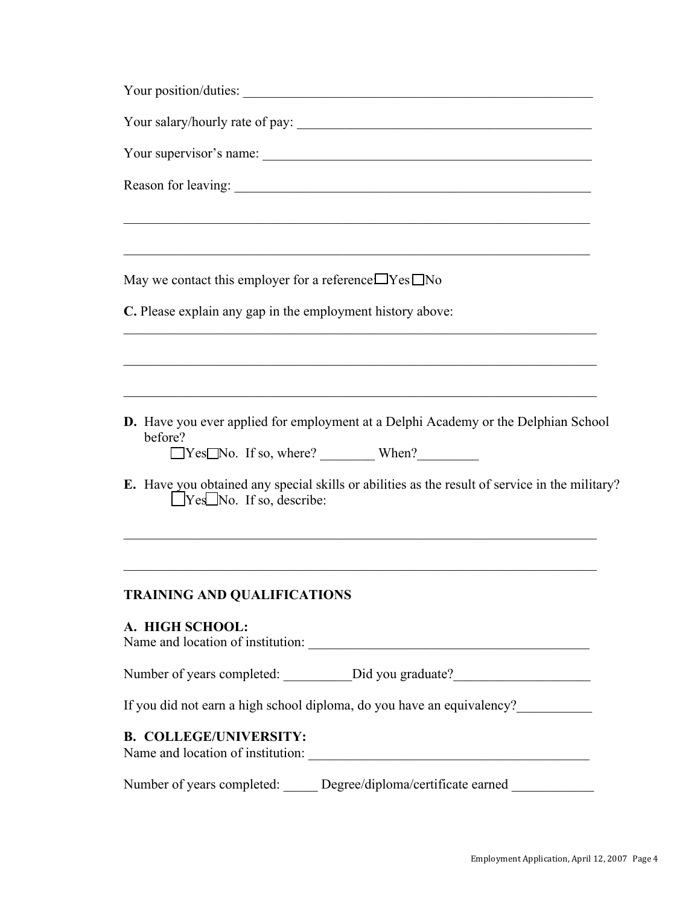| Your supervisor's name:                                                                                                                  |  |  |  |  |
|------------------------------------------------------------------------------------------------------------------------------------------|--|--|--|--|
|                                                                                                                                          |  |  |  |  |
|                                                                                                                                          |  |  |  |  |
|                                                                                                                                          |  |  |  |  |
| May we contact this employer for a reference $\Box$ Yes $\Box$ No                                                                        |  |  |  |  |
| C. Please explain any gap in the employment history above:                                                                               |  |  |  |  |
|                                                                                                                                          |  |  |  |  |
|                                                                                                                                          |  |  |  |  |
| <b>D.</b> Have you ever applied for employment at a Delphi Academy or the Delphian School<br>before?<br>□Yes□No. If so, where? When?     |  |  |  |  |
|                                                                                                                                          |  |  |  |  |
| E. Have you obtained any special skills or abilities as the result of service in the military?<br>$\Box$ Yes $\Box$ No. If so, describe: |  |  |  |  |
|                                                                                                                                          |  |  |  |  |
| <b>TRAINING AND QUALIFICATIONS</b>                                                                                                       |  |  |  |  |
| A. HIGH SCHOOL:                                                                                                                          |  |  |  |  |
|                                                                                                                                          |  |  |  |  |
| If you did not earn a high school diploma, do you have an equivalency?                                                                   |  |  |  |  |
| <b>B. COLLEGE/UNIVERSITY:</b>                                                                                                            |  |  |  |  |
| Number of years completed: _____ Degree/diploma/certificate earned ________                                                              |  |  |  |  |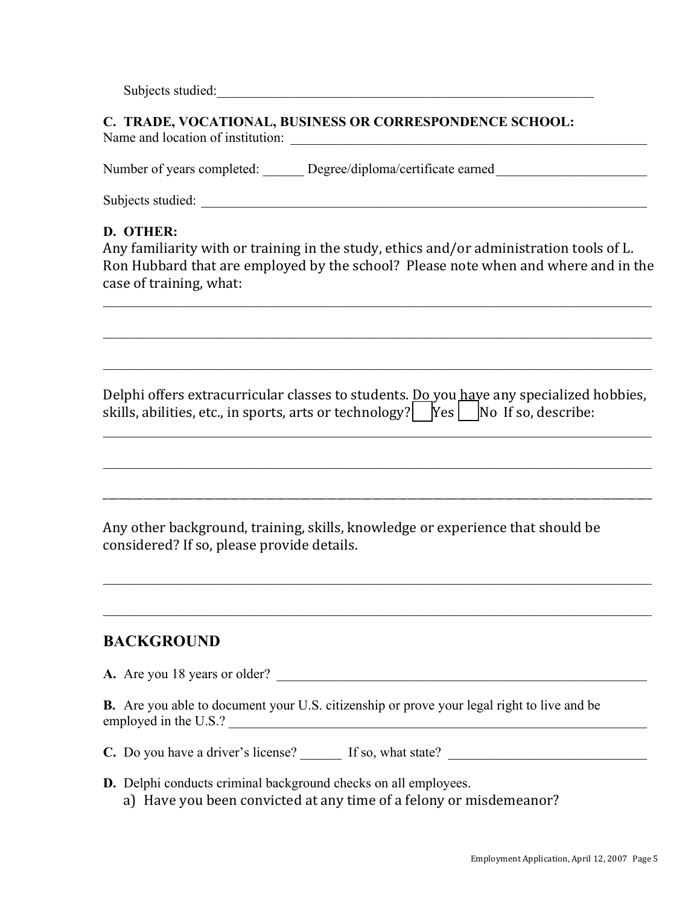Subjects studied:

## **C. TRADE, VOCATIONAL, BUSINESS OR CORRESPONDENCE SCHOOL:**

Name and location of institution: \_\_\_\_\_\_\_\_\_\_\_\_\_\_\_\_\_\_\_\_\_\_\_\_\_\_\_\_\_\_\_\_\_\_\_\_\_\_\_\_\_\_\_\_\_\_\_\_\_\_\_\_

Number of years completed: Degree/diploma/certificate earned

Subjects studied:

### **D. OTHER:**

Any familiarity with or training in the study, ethics and/or administration tools of L. Ron Hubbard that are employed by the school? Please note when and where and in the case of training, what:

 $\_$  , and the contribution of the contribution of the contribution of the contribution of  $\mathcal{L}_\text{max}$ 

 $\mathcal{L}_\mathcal{L} = \{ \mathcal{L}_\mathcal{L} = \{ \mathcal{L}_\mathcal{L} = \{ \mathcal{L}_\mathcal{L} = \{ \mathcal{L}_\mathcal{L} = \{ \mathcal{L}_\mathcal{L} = \{ \mathcal{L}_\mathcal{L} = \{ \mathcal{L}_\mathcal{L} = \{ \mathcal{L}_\mathcal{L} = \{ \mathcal{L}_\mathcal{L} = \{ \mathcal{L}_\mathcal{L} = \{ \mathcal{L}_\mathcal{L} = \{ \mathcal{L}_\mathcal{L} = \{ \mathcal{L}_\mathcal{L} = \{ \mathcal{L}_\mathcal{$ 

 $\_$  , and the contribution of the contribution of the contribution of the contribution of  $\mathcal{L}_\text{max}$ 

Delphi offers extracurricular classes to students. <u>Do you have any specialized hobbies</u>, skills, abilities, etc., in sports, arts or technology? | |Yes | |No If so, describe:

 $\_$  , and the contribution of the contribution of the contribution of the contribution of  $\mathcal{L}_\text{max}$ 

 $\mathcal{L}_\mathcal{L} = \{ \mathcal{L}_\mathcal{L} = \{ \mathcal{L}_\mathcal{L} = \{ \mathcal{L}_\mathcal{L} = \{ \mathcal{L}_\mathcal{L} = \{ \mathcal{L}_\mathcal{L} = \{ \mathcal{L}_\mathcal{L} = \{ \mathcal{L}_\mathcal{L} = \{ \mathcal{L}_\mathcal{L} = \{ \mathcal{L}_\mathcal{L} = \{ \mathcal{L}_\mathcal{L} = \{ \mathcal{L}_\mathcal{L} = \{ \mathcal{L}_\mathcal{L} = \{ \mathcal{L}_\mathcal{L} = \{ \mathcal{L}_\mathcal{$ 

\_\_\_\_\_\_\_\_\_\_\_\_\_\_\_\_\_\_\_\_\_\_\_\_\_\_\_\_\_\_\_\_\_\_\_\_\_\_\_\_\_\_\_\_\_\_\_\_\_\_\_\_\_\_\_\_\_\_\_\_\_\_\_\_\_\_\_\_\_\_\_\_\_\_\_\_\_\_\_\_\_\_\_\_\_\_\_\_\_\_\_\_\_\_\_\_\_\_\_\_\_\_\_\_\_\_\_\_

 $\_$  , and the contribution of the contribution of the contribution of the contribution of  $\mathcal{L}_\text{max}$ 

 $\_$  , and the contribution of the contribution of the contribution of the contribution of  $\mathcal{L}_\text{max}$ 

Any other background, training, skills, knowledge or experience that should be considered? If so, please provide details.

### **BACKGROUND**

**A.** Are you 18 years or older?

**B.** Are you able to document your U.S. citizenship or prove your legal right to live and be employed in the U.S.?

**C.** Do you have a driver's license? If so, what state?

**D.** Delphi conducts criminal background checks on all employees.

a) Have you been convicted at any time of a felony or misdemeanor?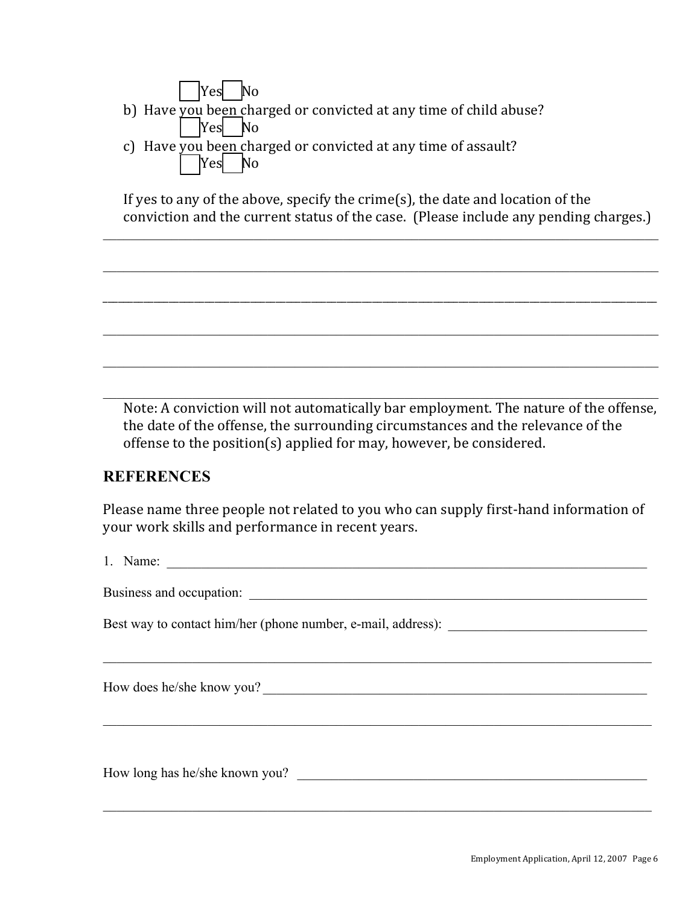| $\Box$ Yes No                                                     |
|-------------------------------------------------------------------|
| b) Have you been charged or convicted at any time of child abuse? |
| $\sqrt{\frac{1}{1-\epsilon}}$ No                                  |
| c) Have you been charged or convicted at any time of assault?     |

If yes to any of the above, specify the crime(s), the date and location of the conviction and the current status of the case. (Please include any pending charges.)

 $\_$  , and the contribution of the contribution of the contribution of the contribution of  $\mathcal{L}_\text{max}$ 

 $\_$  , and the contribution of the contribution of the contribution of the contribution of  $\mathcal{L}_\text{max}$ 

\_\_\_\_\_\_\_\_\_\_\_\_\_\_\_\_\_\_\_\_\_\_\_\_\_\_\_\_\_\_\_\_\_\_\_\_\_\_\_\_\_\_\_\_\_\_\_\_\_\_\_\_\_\_\_\_\_\_\_\_\_\_\_\_\_\_\_\_\_\_\_\_\_\_\_\_\_\_\_\_\_\_\_\_\_\_\_\_\_\_\_\_\_\_\_\_\_\_\_\_\_\_\_\_\_\_\_\_\_

 $\_$  , and the contribution of the contribution of the contribution of the contribution of  $\mathcal{L}_\text{max}$ 

 $\_$  , and the contribution of the contribution of the contribution of the contribution of  $\mathcal{L}_\text{max}$ 

 $\_$  , and the contribution of the contribution of the contribution of the contribution of  $\mathcal{L}_\text{max}$ 

Note: A conviction will not automatically bar employment. The nature of the offense, the date of the offense, the surrounding circumstances and the relevance of the offense to the position(s) applied for may, however, be considered.

### **REFERENCES**

Please name three people not related to you who can supply first-hand information of your work skills and performance in recent years.

1. Name:

 $\mathcal{L}_\mathcal{L} = \{ \mathcal{L}_\mathcal{L} = \{ \mathcal{L}_\mathcal{L} = \{ \mathcal{L}_\mathcal{L} = \{ \mathcal{L}_\mathcal{L} = \{ \mathcal{L}_\mathcal{L} = \{ \mathcal{L}_\mathcal{L} = \{ \mathcal{L}_\mathcal{L} = \{ \mathcal{L}_\mathcal{L} = \{ \mathcal{L}_\mathcal{L} = \{ \mathcal{L}_\mathcal{L} = \{ \mathcal{L}_\mathcal{L} = \{ \mathcal{L}_\mathcal{L} = \{ \mathcal{L}_\mathcal{L} = \{ \mathcal{L}_\mathcal{$ 

 $\_$  , and the contribution of the contribution of the contribution of the contribution of  $\mathcal{L}_\text{max}$ 

 $\mathcal{L}_\mathcal{L} = \{ \mathcal{L}_\mathcal{L} = \{ \mathcal{L}_\mathcal{L} = \{ \mathcal{L}_\mathcal{L} = \{ \mathcal{L}_\mathcal{L} = \{ \mathcal{L}_\mathcal{L} = \{ \mathcal{L}_\mathcal{L} = \{ \mathcal{L}_\mathcal{L} = \{ \mathcal{L}_\mathcal{L} = \{ \mathcal{L}_\mathcal{L} = \{ \mathcal{L}_\mathcal{L} = \{ \mathcal{L}_\mathcal{L} = \{ \mathcal{L}_\mathcal{L} = \{ \mathcal{L}_\mathcal{L} = \{ \mathcal{L}_\mathcal{$ 

Business and occupation: \_\_\_\_\_\_\_\_\_\_\_\_\_\_\_\_\_\_\_\_\_\_\_\_\_\_\_\_\_\_\_\_\_\_\_\_\_\_\_\_\_\_\_\_\_\_\_\_\_\_\_\_\_\_\_\_\_\_

| Yes| No

Best way to contact him/her (phone number, e-mail, address):

How does he/she know you?

How long has he/she known you?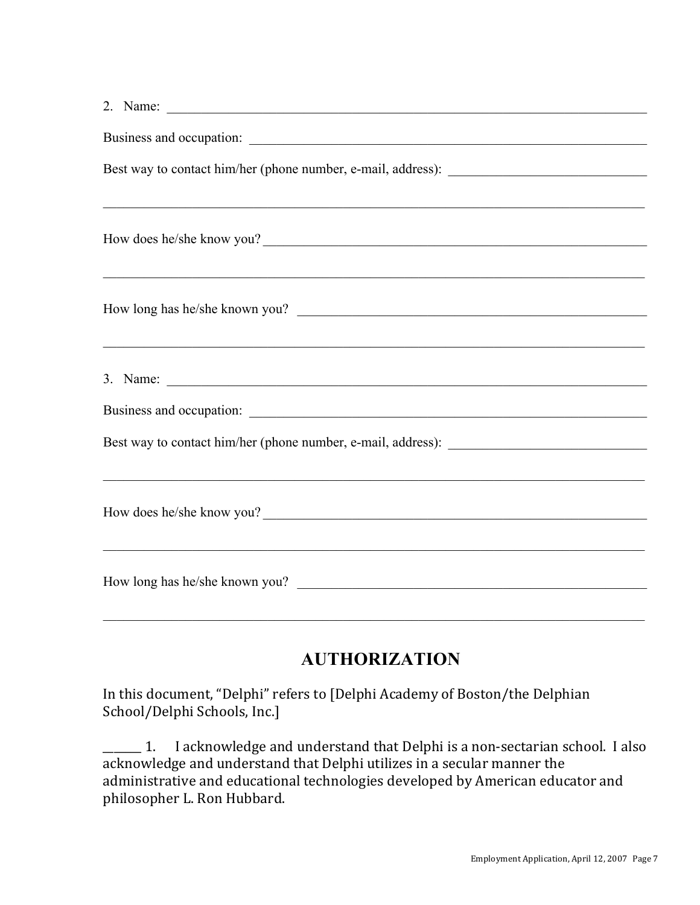| 2. Name: $\overline{\phantom{a}}$                                                                                    |
|----------------------------------------------------------------------------------------------------------------------|
|                                                                                                                      |
|                                                                                                                      |
|                                                                                                                      |
| How does he/she know you?                                                                                            |
|                                                                                                                      |
| How long has he/she known you?                                                                                       |
| <u> 1999 - Jan James James James James James James James James James James James James James James James James J</u> |
|                                                                                                                      |
|                                                                                                                      |
| Best way to contact him/her (phone number, e-mail, address): ____________________                                    |
| <u> 1989 - Johann John Harry Harry Harry Harry Harry Harry Harry Harry Harry Harry Harry Harry Harry Harry Harry</u> |
| How does he/she know you?                                                                                            |
| <u> 1989 - Andrea Stadt Brandenburg, amerikan berkenal (h. 1989).</u>                                                |
| How long has he/she known you?                                                                                       |
|                                                                                                                      |

# **AUTHORIZATION**

In this document, "Delphi" refers to [Delphi Academy of Boston/the Delphian School/Delphi Schools, Inc.]

\_\_\_\_\_\_ 1. I acknowledge and understand that Delphi is a non-sectarian school. I also acknowledge and understand that Delphi utilizes in a secular manner the administrative and educational technologies developed by American educator and philosopher L. Ron Hubbard.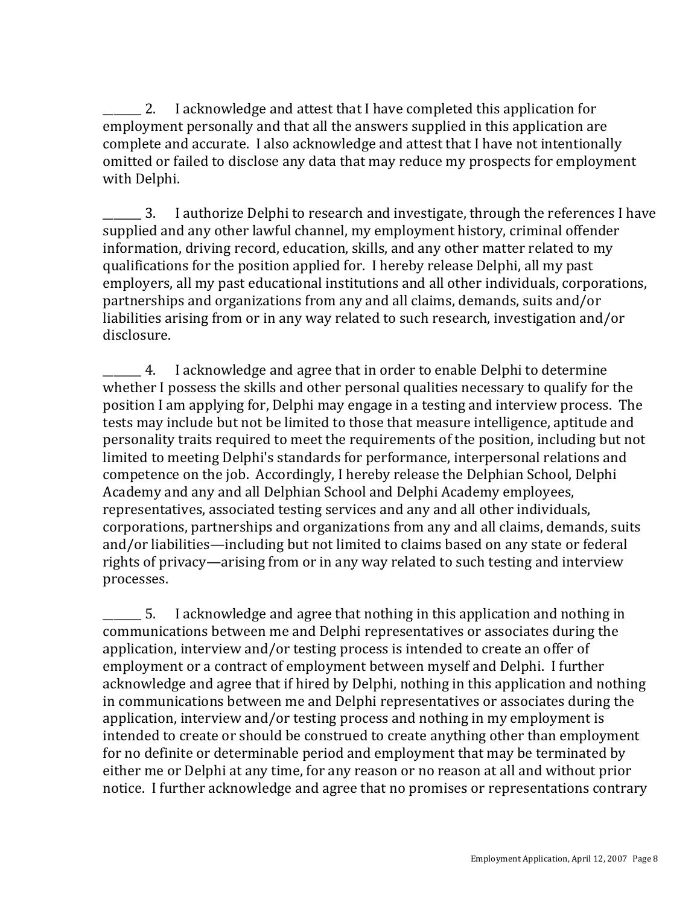2. I acknowledge and attest that I have completed this application for employment personally and that all the answers supplied in this application are complete and accurate. I also acknowledge and attest that I have not intentionally omitted or failed to disclose any data that may reduce my prospects for employment with Delphi.

3. I authorize Delphi to research and investigate, through the references I have supplied and any other lawful channel, my employment history, criminal offender information, driving record, education, skills, and any other matter related to my qualifications for the position applied for. I hereby release Delphi, all my past employers, all my past educational institutions and all other individuals, corporations, partnerships and organizations from any and all claims, demands, suits and/or liabilities arising from or in any way related to such research, investigation and/or disclosure.

\_\_\_\_\_\_\_!4. I!acknowledge!and!agree!that!in!order!to!enable!Delphi!to!determine! whether I possess the skills and other personal qualities necessary to qualify for the position I am applying for, Delphi may engage in a testing and interview process. The tests may include but not be limited to those that measure intelligence, aptitude and personality traits required to meet the requirements of the position, including but not limited to meeting Delphi's standards for performance, interpersonal relations and competence on the job. Accordingly, I hereby release the Delphian School, Delphi Academy and any and all Delphian School and Delphi Academy employees, representatives, associated testing services and any and all other individuals, corporations, partnerships and organizations from any and all claims, demands, suits and/or liabilities—including but not limited to claims based on any state or federal rights of privacy—arising from or in any way related to such testing and interview processes.

1. Election 2. I acknowledge and agree that nothing in this application and nothing in communications between me and Delphi representatives or associates during the application, interview and/or testing process is intended to create an offer of employment or a contract of employment between myself and Delphi. I further acknowledge and agree that if hired by Delphi, nothing in this application and nothing in communications between me and Delphi representatives or associates during the application, interview and/or testing process and nothing in my employment is intended to create or should be construed to create anything other than employment for no definite or determinable period and employment that may be terminated by either me or Delphi at any time, for any reason or no reason at all and without prior notice. I further acknowledge and agree that no promises or representations contrary